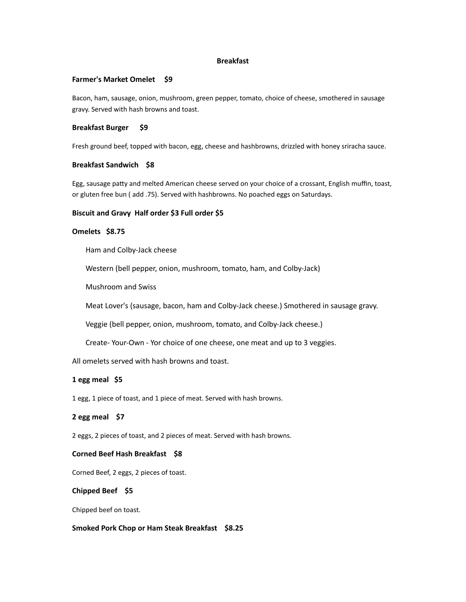#### **Breakfast**

#### **Farmer's Market Omelet \$9**

Bacon, ham, sausage, onion, mushroom, green pepper, tomato, choice of cheese, smothered in sausage gravy. Served with hash browns and toast.

#### **Breakfast Burger** \$9

Fresh ground beef, topped with bacon, egg, cheese and hashbrowns, drizzled with honey sriracha sauce.

#### **Breakfast Sandwich \$8**

Egg, sausage patty and melted American cheese served on your choice of a crossant, English muffin, toast, or gluten free bun ( add .75). Served with hashbrowns. No poached eggs on Saturdays.

#### Biscuit and Gravy Half order \$3 Full order \$5

### Omelets \$8.75

Ham and Colby-Jack cheese

Western (bell pepper, onion, mushroom, tomato, ham, and Colby-Jack)

Mushroom and Swiss

Meat Lover's (sausage, bacon, ham and Colby-Jack cheese.) Smothered in sausage gravy.

Veggie (bell pepper, onion, mushroom, tomato, and Colby-Jack cheese.)

Create- Your-Own - Yor choice of one cheese, one meat and up to 3 veggies.

All omelets served with hash browns and toast.

### 1 egg meal \$5

1 egg, 1 piece of toast, and 1 piece of meat. Served with hash browns.

**2** egg meal \$7

2 eggs, 2 pieces of toast, and 2 pieces of meat. Served with hash browns.

#### **Corned Beef Hash Breakfast \$8**

Corned Beef, 2 eggs, 2 pieces of toast.

### **Chipped Beef \$5**

Chipped beef on toast.

### Smoked Pork Chop or Ham Steak Breakfast \$8.25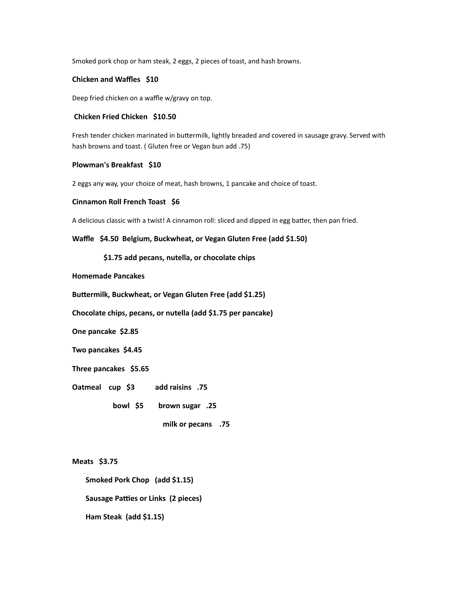Smoked pork chop or ham steak, 2 eggs, 2 pieces of toast, and hash browns.

## **Chicken and Waffles \$10**

Deep fried chicken on a waffle w/gravy on top.

#### **Chicken Fried Chicken \$10.50**

Fresh tender chicken marinated in buttermilk, lightly breaded and covered in sausage gravy. Served with hash browns and toast. ( Gluten free or Vegan bun add .75)

### **Plowman's Breakfast \$10**

2 eggs any way, your choice of meat, hash browns, 1 pancake and choice of toast.

#### **Cinnamon Roll French Toast \$6**

A delicious classic with a twist! A cinnamon roll: sliced and dipped in egg batter, then pan fried.

Waffle \$4.50 Belgium, Buckwheat, or Vegan Gluten Free (add \$1.50)

\$1.75 add pecans, nutella, or chocolate chips

### **Homemade Pancakes**

**Buttermilk, Buckwheat, or Vegan Gluten Free (add \$1.25)** 

**Chocolate chips, pecans, or nutella (add \$1.75 per pancake)** 

**One pancake \$2.85** 

**Two pancakes \$4.45**

Three pancakes \$5.65

**Oatmeal cup \$3** add raisins .75

**bowl \$5 brown sugar** .25

**milk or pecans** .75

**Meats \$3.75** 

**Smoked Pork Chop** (add \$1.15)

**Sausage Patties or Links (2 pieces)** 

**Ham Steak (add \$1.15)**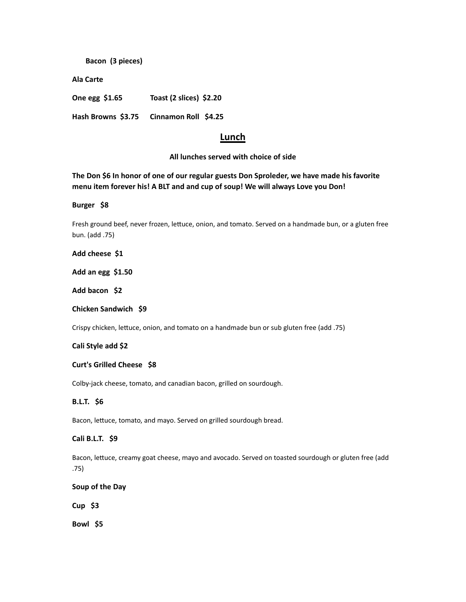**Bacon (3 pieces)**

**Ala Carte**

**One egg \$1.65** Toast (2 slices) \$2.20

Hash Browns \$3.75 Cinnamon Roll \$4.25

# **Lunch**

# All lunches served with choice of side

The Don \$6 In honor of one of our regular guests Don Sproleder, we have made his favorite menu item forever his! A BLT and and cup of soup! We will always Love you Don!

**Burger \$8**

Fresh ground beef, never frozen, lettuce, onion, and tomato. Served on a handmade bun, or a gluten free bun. (add .75)

Add cheese \$1

**Add an egg \$1.50**

Add bacon \$2

**Chicken Sandwich \$9**

Crispy chicken, lettuce, onion, and tomato on a handmade bun or sub gluten free (add .75)

**Cali Style add \$2**

#### **Curt's Grilled Cheese \$8**

Colby-jack cheese, tomato, and canadian bacon, grilled on sourdough.

## **B.L.T.** \$6

Bacon, lettuce, tomato, and mayo. Served on grilled sourdough bread.

# **Cali B.L.T. \$9**

Bacon, lettuce, creamy goat cheese, mayo and avocado. Served on toasted sourdough or gluten free (add .75)

**Soup of the Day**

**Cup \$3**

**Bowl \$5**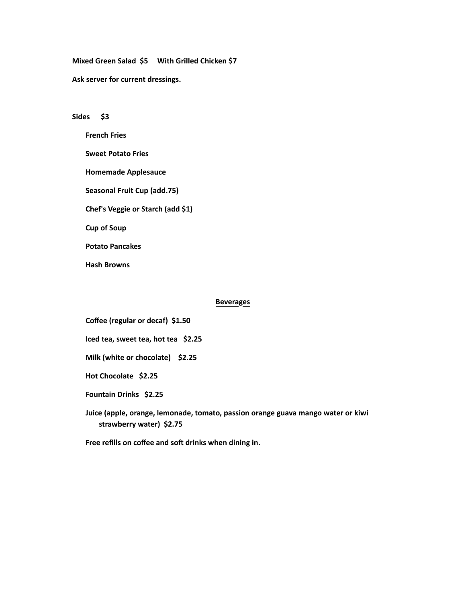Mixed Green Salad \$5 With Grilled Chicken \$7

Ask server for current dressings.

#### Sides \$3

**French Fries**

**Sweet Potato Fries** 

**Homemade Applesauce**

Seasonal Fruit Cup (add.75)

**Chef's Veggie or Starch (add \$1)**

**Cup of Soup**

**Potato Pancakes** 

**Hash Browns**

#### **Beverages**

**Coffee (regular or decaf) \$1.50**

**Iced tea, sweet tea, hot tea \$2.25** 

**Milk (white or chocolate) \$2.25** 

Hot Chocolate \$2.25

**Fountain Drinks \$2.25** 

Juice (apple, orange, lemonade, tomato, passion orange guava mango water or kiwi strawberry water) \$2.75

Free refills on coffee and soft drinks when dining in.